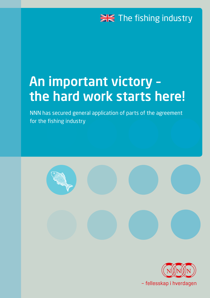# **EXEC** The fishing industry

# An important victory – the hard work starts here!

NNN has secured general application of parts of the agreement for the fishing industry





- fellesskap i hverdagen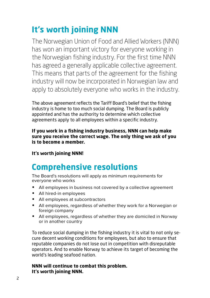## **It's worth joining NNN**

The Norwegian Union of Food and Allied Workers (NNN) has won an important victory for everyone working in the Norwegian fishing industry. For the first time NNN has agreed a generally applicable collective agreement. This means that parts of the agreement for the fishing industry will now be incorporated in Norwegian law and apply to absolutely everyone who works in the industry.

The above agreement reflects the Tariff Board's belief that the fishing industry is home to too much social dumping. The Board is publicly appointed and has the authority to determine which collective agreements apply to all employees within a specific industry.

**If you work in a fishing industry business, NNN can help make sure you receive the correct wage. The only thing we ask of you is to become a member.**

#### **It's worth joining NNN!**

### **Comprehensive resolutions**

The Board's resolutions will apply as minimum requirements for everyone who works

- All employees in business not covered by a collective agreement
- All hired-in employees
- All employees at subcontractors
- All employees, regardless of whether they work for a Norwegian or foreign company
- All employees, regardless of whether they are domiciled in Norway or in another country

To reduce social dumping in the fishing industry it is vital to not only secure decent working conditions for employees, but also to ensure that reputable companies do not lose out in competition with disreputable operators. And to enable Norway to achieve its target of becoming the world's leading seafood nation.

#### **NNN will continue to combat this problem. It's worth joining NNN.**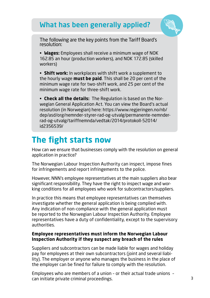### What has been generally applied?



The following are the key points from the Tariff Board's resolution:

• **Wages:** Employees shall receive a minimum wage of NOK 162.85 an hour (production workers), and NOK 172.85 (skilled workers)

• **Shift work:** In workplaces with shift work a supplement to the hourly wage **must be paid**. This shall be 20 per cent of the minimum wage rate for two-shift work, and 25 per cent of the minimum wage rate for three-shift work.

• **Check all the details:** The Regulation is based on the Norwegian General Application Act. You can view the Board's actual resolution (in Norwegian) here: https://www.regjeringen.no/nb/ dep/asd/org/nemnder-styrer-rad-og-utvalg/permanente-nemnderrad-og-utvalg/tariffnemnda/vedtak/2014/protokoll-52014/ id2356539/

### **The fight starts now**

How can we ensure that businesses comply with the resolution on general application in practice?

The Norwegian Labour Inspection Authority can inspect, impose fines for infringements and report infringements to the police.

However, NNN's employee representatives at the main suppliers also bear significant responsibility. They have the right to inspect wage and working conditions for all employees who work for subcontractors/suppliers.

In practice this means that employee representatives can themselves investigate whether the general application is being complied with. Any indication of non-compliance with the general application must be reported to the Norwegian Labour Inspection Authority. Employee representatives have a duty of confidentiality, except to the supervisory authorities.

#### **Employee representatives must inform the Norwegian Labour Inspection Authority if they suspect any breach of the rules**

Suppliers and subcontractors can be made liable for wages and holiday pay for employees at their own subcontractors (joint and several liability). The employer or anyone who manages the business in the place of the employer can be fined for failure to comply with the resolution.

Employees who are members of a union – or their actual trade unions – can initiate private criminal proceedings.